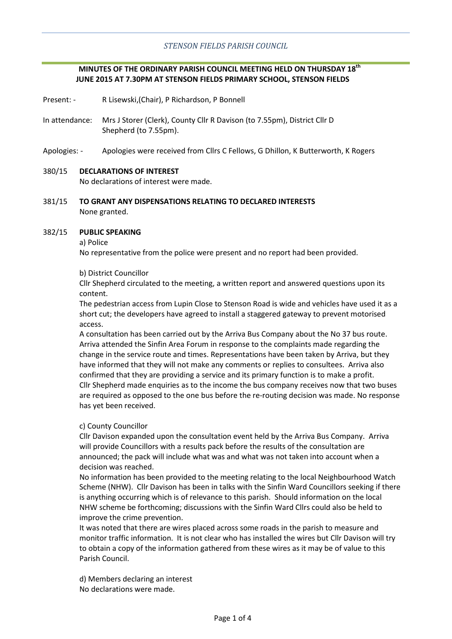# **MINUTES OF THE ORDINARY PARISH COUNCIL MEETING HELD ON THURSDAY 18th JUNE 2015 AT 7.30PM AT STENSON FIELDS PRIMARY SCHOOL, STENSON FIELDS**

- Present: R Lisewski,(Chair), P Richardson, P Bonnell
- In attendance: Mrs J Storer (Clerk), County Cllr R Davison (to 7.55pm), District Cllr D Shepherd (to 7.55pm).
- Apologies: Apologies were received from Cllrs C Fellows, G Dhillon, K Butterworth, K Rogers

#### 380/15 **DECLARATIONS OF INTEREST**

No declarations of interest were made.

381/15 **TO GRANT ANY DISPENSATIONS RELATING TO DECLARED INTERESTS** None granted.

#### 382/15 **PUBLIC SPEAKING**

#### a) Police

No representative from the police were present and no report had been provided.

#### b) District Councillor

Cllr Shepherd circulated to the meeting, a written report and answered questions upon its content.

The pedestrian access from Lupin Close to Stenson Road is wide and vehicles have used it as a short cut; the developers have agreed to install a staggered gateway to prevent motorised access.

A consultation has been carried out by the Arriva Bus Company about the No 37 bus route. Arriva attended the Sinfin Area Forum in response to the complaints made regarding the change in the service route and times. Representations have been taken by Arriva, but they have informed that they will not make any comments or replies to consultees. Arriva also confirmed that they are providing a service and its primary function is to make a profit. Cllr Shepherd made enquiries as to the income the bus company receives now that two buses are required as opposed to the one bus before the re-routing decision was made. No response has yet been received.

# c) County Councillor

Cllr Davison expanded upon the consultation event held by the Arriva Bus Company. Arriva will provide Councillors with a results pack before the results of the consultation are announced; the pack will include what was and what was not taken into account when a decision was reached.

No information has been provided to the meeting relating to the local Neighbourhood Watch Scheme (NHW). Cllr Davison has been in talks with the Sinfin Ward Councillors seeking if there is anything occurring which is of relevance to this parish. Should information on the local NHW scheme be forthcoming; discussions with the Sinfin Ward Cllrs could also be held to improve the crime prevention.

It was noted that there are wires placed across some roads in the parish to measure and monitor traffic information. It is not clear who has installed the wires but Cllr Davison will try to obtain a copy of the information gathered from these wires as it may be of value to this Parish Council.

d) Members declaring an interest No declarations were made.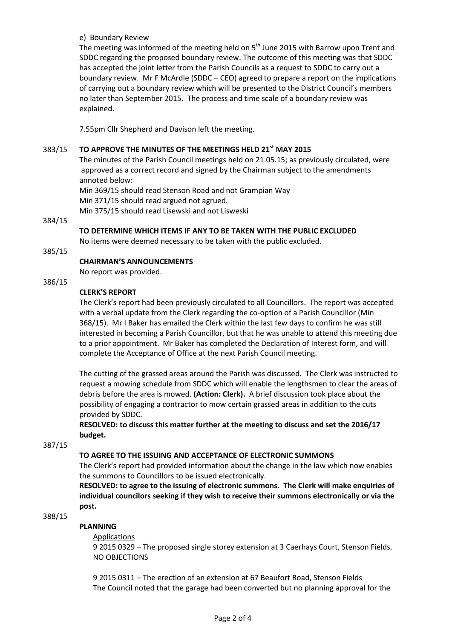e) Boundary Review

The meeting was informed of the meeting held on  $5<sup>th</sup>$  June 2015 with Barrow upon Trent and SDDC regarding the proposed boundary review. The outcome of this meeting was that SDDC has accepted the joint letter from the Parish Councils as a request to SDDC to carry out a boundary review. Mr F McArdle (SDDC – CEO) agreed to prepare a report on the implications of carrying out a boundary review which will be presented to the District Council's members no later than September 2015. The process and time scale of a boundary review was explained.

7.55pm Cllr Shepherd and Davison left the meeting.

#### 383/15 **TO APPROVE THE MINUTES OF THE MEETINGS HELD 21st MAY 2015**

The minutes of the Parish Council meetings held on 21.05.15; as previously circulated, were approved as a correct record and signed by the Chairman subject to the amendments annoted below:

Min 369/15 should read Stenson Road and not Grampian Way

Min 371/15 should read argued not agrued.

Min 375/15 should read Lisewski and not Lisweski

# 384/15

# **TO DETERMINE WHICH ITEMS IF ANY TO BE TAKEN WITH THE PUBLIC EXCLUDED**

No items were deemed necessary to be taken with the public excluded.

#### 385/15

# **CHAIRMAN'S ANNOUNCEMENTS**

No report was provided.

# 386/15

# **CLERK'S REPORT**

The Clerk's report had been previously circulated to all Councillors. The report was accepted with a verbal update from the Clerk regarding the co-option of a Parish Councillor (Min 368/15). Mr I Baker has emailed the Clerk within the last few days to confirm he was still interested in becoming a Parish Councillor, but that he was unable to attend this meeting due to a prior appointment. Mr Baker has completed the Declaration of Interest form, and will complete the Acceptance of Office at the next Parish Council meeting.

The cutting of the grassed areas around the Parish was discussed. The Clerk was instructed to request a mowing schedule from SDDC which will enable the lengthsmen to clear the areas of debris before the area is mowed. **(Action: Clerk).** A brief discussion took place about the possibility of engaging a contractor to mow certain grassed areas in addition to the cuts provided by SDDC.

# **RESOLVED: to discuss this matter further at the meeting to discuss and set the 2016/17 budget.**

387/15

# **TO AGREE TO THE ISSUING AND ACCEPTANCE OF ELECTRONIC SUMMONS**

The Clerk's report had provided information about the change in the law which now enables the summons to Councillors to be issued electronically.

**RESOLVED: to agree to the issuing of electronic summons. The Clerk will make enquiries of individual councilors seeking if they wish to receive their summons electronically or via the post.**

# 388/15

# **PLANNING**

# Applications

9 2015 0329 – The proposed single storey extension at 3 Caerhays Court, Stenson Fields. NO OBJECTIONS

9 2015 0311 – The erection of an extension at 67 Beaufort Road, Stenson Fields The Council noted that the garage had been converted but no planning approval for the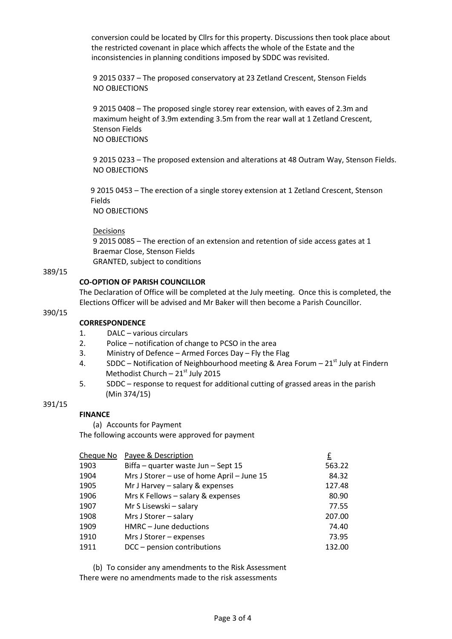conversion could be located by Cllrs for this property. Discussions then took place about the restricted covenant in place which affects the whole of the Estate and the inconsistencies in planning conditions imposed by SDDC was revisited.

9 2015 0337 – The proposed conservatory at 23 Zetland Crescent, Stenson Fields NO OBJECTIONS

9 2015 0408 – The proposed single storey rear extension, with eaves of 2.3m and maximum height of 3.9m extending 3.5m from the rear wall at 1 Zetland Crescent, Stenson Fields NO OBJECTIONS

9 2015 0233 – The proposed extension and alterations at 48 Outram Way, Stenson Fields. NO OBJECTIONS

 9 2015 0453 – The erection of a single storey extension at 1 Zetland Crescent, Stenson Fields

NO OBJECTIONS

#### Decisions

9 2015 0085 – The erection of an extension and retention of side access gates at 1 Braemar Close, Stenson Fields GRANTED, subject to conditions

#### 389/15

# **CO-OPTION OF PARISH COUNCILLOR**

The Declaration of Office will be completed at the July meeting. Once this is completed, the Elections Officer will be advised and Mr Baker will then become a Parish Councillor.

# 390/15

# **CORRESPONDENCE**

- 1. DALC various circulars
- 2. Police notification of change to PCSO in the area
- 3. Ministry of Defence Armed Forces Day Fly the Flag
- 4. SDDC Notification of Neighbourhood meeting & Area Forum  $21^{st}$  July at Findern Methodist Church –  $21<sup>st</sup>$  July 2015
- 5. SDDC response to request for additional cutting of grassed areas in the parish (Min 374/15)

# 391/15

# **FINANCE**

(a) Accounts for Payment

The following accounts were approved for payment

| Cheque No | Payee & Description                        | £      |
|-----------|--------------------------------------------|--------|
| 1903      | Biffa - quarter waste Jun - Sept 15        | 563.22 |
| 1904      | Mrs J Storer - use of home April - June 15 | 84.32  |
| 1905      | Mr J Harvey $-$ salary & expenses          | 127.48 |
| 1906      | Mrs K Fellows - salary & expenses          | 80.90  |
| 1907      | Mr S Lisewski - salary                     | 77.55  |
| 1908      | Mrs J Storer - salary                      | 207.00 |
| 1909      | HMRC - June deductions                     | 74.40  |
| 1910      | Mrs J Storer - expenses                    | 73.95  |
| 1911      | DCC - pension contributions                | 132.00 |
|           |                                            |        |

(b) To consider any amendments to the Risk Assessment There were no amendments made to the risk assessments